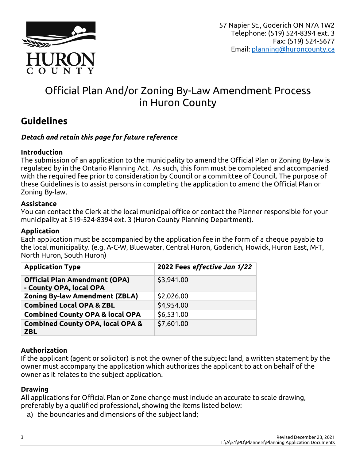

# Official Plan And/or Zoning By-Law Amendment Process in Huron County

## **Guidelines**

## *Detach and retain this page for future reference*

### **Introduction**

The submission of an application to the municipality to amend the Official Plan or Zoning By-law is regulated by in the Ontario Planning Act. As such, this form must be completed and accompanied with the required fee prior to consideration by Council or a committee of Council. The purpose of these Guidelines is to assist persons in completing the application to amend the Official Plan or Zoning By-law.

#### **Assistance**

You can contact the Clerk at the local municipal office or contact the Planner responsible for your municipality at 519-524-8394 ext. 3 (Huron County Planning Department).

#### **Application**

Each application must be accompanied by the application fee in the form of a cheque payable to the local municipality. (e.g. A-C-W, Bluewater, Central Huron, Goderich, Howick, Huron East, M-T, North Huron, South Huron)

| <b>Application Type</b>                                         | 2022 Fees effective Jan 1/22 |
|-----------------------------------------------------------------|------------------------------|
| <b>Official Plan Amendment (OPA)</b><br>- County OPA, local OPA | \$3,941.00                   |
| <b>Zoning By-law Amendment (ZBLA)</b>                           | \$2,026.00                   |
| <b>Combined Local OPA &amp; ZBL</b>                             | \$4,954.00                   |
| <b>Combined County OPA &amp; local OPA</b>                      | \$6,531.00                   |
| <b>Combined County OPA, local OPA &amp;</b><br><b>ZBL</b>       | \$7,601.00                   |

## **Authorization**

If the applicant (agent or solicitor) is not the owner of the subject land, a written statement by the owner must accompany the application which authorizes the applicant to act on behalf of the owner as it relates to the subject application.

#### **Drawing**

All applications for Official Plan or Zone change must include an accurate to scale drawing, preferably by a qualified professional, showing the items listed below:

a) the boundaries and dimensions of the subject land;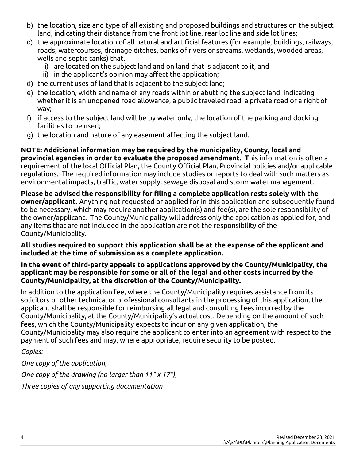- b) the location, size and type of all existing and proposed buildings and structures on the subject land, indicating their distance from the front lot line, rear lot line and side lot lines;
- c) the approximate location of all natural and artificial features (for example, buildings, railways, roads, watercourses, drainage ditches, banks of rivers or streams, wetlands, wooded areas, wells and septic tanks) that,
	- i) are located on the subject land and on land that is adjacent to it, and
	- ii) in the applicant's opinion may affect the application;
- d) the current uses of land that is adjacent to the subject land;
- e) the location, width and name of any roads within or abutting the subject land, indicating whether it is an unopened road allowance, a public traveled road, a private road or a right of way;
- f) if access to the subject land will be by water only, the location of the parking and docking facilities to be used;
- g) the location and nature of any easement affecting the subject land.

**NOTE: Additional information may be required by the municipality, County, local and provincial agencies in order to evaluate the proposed amendment. T**his information is often a requirement of the local Official Plan, the County Official Plan, Provincial policies and/or applicable regulations. The required information may include studies or reports to deal with such matters as environmental impacts, traffic, water supply, sewage disposal and storm water management.

**Please be advised the responsibility for filing a complete application rests solely with the owner/applicant.** Anything not requested or applied for in this application and subsequently found to be necessary, which may require another application(s) and fee(s), are the sole responsibility of the owner/applicant. The County/Municipality will address only the application as applied for, and any items that are not included in the application are not the responsibility of the County/Municipality.

**All studies required to support this application shall be at the expense of the applicant and included at the time of submission as a complete application.** 

#### **In the event of third-party appeals to applications approved by the County/Municipality, the applicant may be responsible for some or all of the legal and other costs incurred by the County/Municipality, at the discretion of the County/Municipality.**

In addition to the application fee, where the County/Municipality requires assistance from its solicitors or other technical or professional consultants in the processing of this application, the applicant shall be responsible for reimbursing all legal and consulting fees incurred by the County/Municipality, at the County/Municipality's actual cost. Depending on the amount of such fees, which the County/Municipality expects to incur on any given application, the County/Municipality may also require the applicant to enter into an agreement with respect to the payment of such fees and may, where appropriate, require security to be posted.

*Copies:*

*One copy of the application, One copy of the drawing (no larger than 11" x 17"), Three copies of any supporting documentation*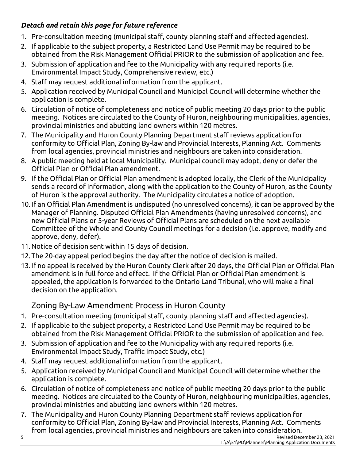## *Detach and retain this page for future reference*

- 1. Pre-consultation meeting (municipal staff, county planning staff and affected agencies).
- 2. If applicable to the subject property, a Restricted Land Use Permit may be required to be obtained from the Risk Management Official PRIOR to the submission of application and fee.
- 3. Submission of application and fee to the Municipality with any required reports (i.e. Environmental Impact Study, Comprehensive review, etc.)
- 4. Staff may request additional information from the applicant.
- 5. Application received by Municipal Council and Municipal Council will determine whether the application is complete.
- 6. Circulation of notice of completeness and notice of public meeting 20 days prior to the public meeting. Notices are circulated to the County of Huron, neighbouring municipalities, agencies, provincial ministries and abutting land owners within 120 metres.
- 7. The Municipality and Huron County Planning Department staff reviews application for conformity to Official Plan, Zoning By-law and Provincial Interests, Planning Act. Comments from local agencies, provincial ministries and neighbours are taken into consideration.
- 8. A public meeting held at local Municipality. Municipal council may adopt, deny or defer the Official Plan or Official Plan amendment.
- 9. If the Official Plan or Official Plan amendment is adopted locally, the Clerk of the Municipality sends a record of information, along with the application to the County of Huron, as the County of Huron is the approval authority. The Municipality circulates a notice of adoption.
- 10.If an Official Plan Amendment is undisputed (no unresolved concerns), it can be approved by the Manager of Planning. Disputed Official Plan Amendments (having unresolved concerns), and new Official Plans or 5-year Reviews of Official Plans are scheduled on the next available Committee of the Whole and County Council meetings for a decision (i.e. approve, modify and approve, deny, defer).
- 11.Notice of decision sent within 15 days of decision.
- 12.The 20-day appeal period begins the day after the notice of decision is mailed.
- 13.If no appeal is received by the Huron County Clerk after 20 days, the Official Plan or Official Plan amendment is in full force and effect. If the Official Plan or Official Plan amendment is appealed, the application is forwarded to the Ontario Land Tribunal, who will make a final decision on the application.

## Zoning By-Law Amendment Process in Huron County

- 1. Pre-consultation meeting (municipal staff, county planning staff and affected agencies).
- 2. If applicable to the subject property, a Restricted Land Use Permit may be required to be obtained from the Risk Management Official PRIOR to the submission of application and fee.
- 3. Submission of application and fee to the Municipality with any required reports (i.e. Environmental Impact Study, Traffic Impact Study, etc.)
- 4. Staff may request additional information from the applicant.
- 5. Application received by Municipal Council and Municipal Council will determine whether the application is complete.
- 6. Circulation of notice of completeness and notice of public meeting 20 days prior to the public meeting. Notices are circulated to the County of Huron, neighbouring municipalities, agencies, provincial ministries and abutting land owners within 120 metres.
- 7. The Municipality and Huron County Planning Department staff reviews application for conformity to Official Plan, Zoning By-law and Provincial Interests, Planning Act. Comments from local agencies, provincial ministries and neighbours are taken into consideration.
- 5 Revised December 23, 2021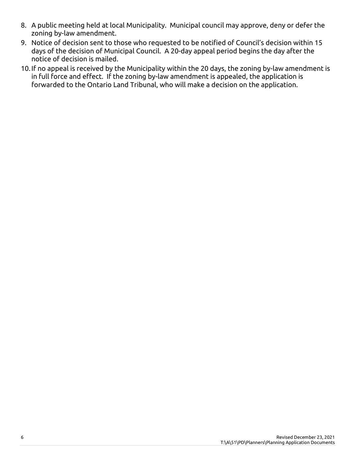- 8. A public meeting held at local Municipality. Municipal council may approve, deny or defer the zoning by-law amendment.
- 9. Notice of decision sent to those who requested to be notified of Council's decision within 15 days of the decision of Municipal Council. A 20-day appeal period begins the day after the notice of decision is mailed.
- 10.If no appeal is received by the Municipality within the 20 days, the zoning by-law amendment is in full force and effect. If the zoning by-law amendment is appealed, the application is forwarded to the Ontario Land Tribunal, who will make a decision on the application.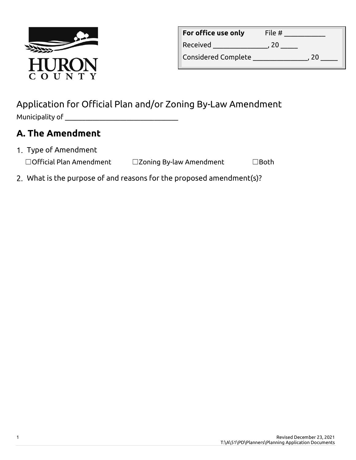

| For office use only        | File # |  |
|----------------------------|--------|--|
| Received                   | 20     |  |
| <b>Considered Complete</b> | 20     |  |

## Application for Official Plan and/or Zoning By-Law Amendment Municipality of  $\_\_$

# **A. The Amendment**

- 1. Type of Amendment ☐Official Plan Amendment ☐Zoning By-law Amendment ☐Both
- What is the purpose of and reasons for the proposed amendment(s)?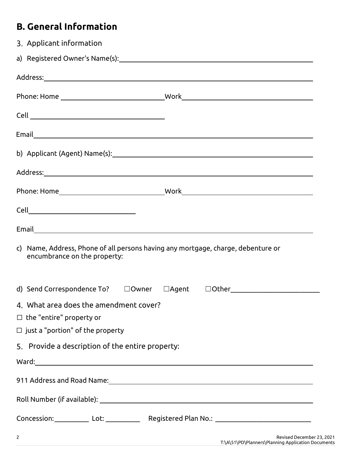# **B. General Information**

| 3. Applicant information                                                                                                                                                                                                                                                                                                           |                                                                                                     |
|------------------------------------------------------------------------------------------------------------------------------------------------------------------------------------------------------------------------------------------------------------------------------------------------------------------------------------|-----------------------------------------------------------------------------------------------------|
|                                                                                                                                                                                                                                                                                                                                    |                                                                                                     |
|                                                                                                                                                                                                                                                                                                                                    |                                                                                                     |
|                                                                                                                                                                                                                                                                                                                                    |                                                                                                     |
|                                                                                                                                                                                                                                                                                                                                    |                                                                                                     |
|                                                                                                                                                                                                                                                                                                                                    |                                                                                                     |
|                                                                                                                                                                                                                                                                                                                                    |                                                                                                     |
|                                                                                                                                                                                                                                                                                                                                    |                                                                                                     |
|                                                                                                                                                                                                                                                                                                                                    |                                                                                                     |
|                                                                                                                                                                                                                                                                                                                                    |                                                                                                     |
|                                                                                                                                                                                                                                                                                                                                    |                                                                                                     |
| encumbrance on the property:                                                                                                                                                                                                                                                                                                       | c) Name, Address, Phone of all persons having any mortgage, charge, debenture or                    |
|                                                                                                                                                                                                                                                                                                                                    |                                                                                                     |
| 4. What area does the amendment cover?                                                                                                                                                                                                                                                                                             |                                                                                                     |
| $\Box$ the "entire" property or                                                                                                                                                                                                                                                                                                    |                                                                                                     |
| $\Box$ just a "portion" of the property                                                                                                                                                                                                                                                                                            |                                                                                                     |
| 5. Provide a description of the entire property:                                                                                                                                                                                                                                                                                   |                                                                                                     |
|                                                                                                                                                                                                                                                                                                                                    |                                                                                                     |
|                                                                                                                                                                                                                                                                                                                                    |                                                                                                     |
|                                                                                                                                                                                                                                                                                                                                    |                                                                                                     |
|                                                                                                                                                                                                                                                                                                                                    | Concession:_____________ Lot: _______________ Registered Plan No.: ________________________________ |
| $\overline{2}$ and $\overline{2}$ and $\overline{2}$ and $\overline{2}$ and $\overline{2}$ and $\overline{2}$ and $\overline{2}$ and $\overline{2}$ and $\overline{2}$ and $\overline{2}$ and $\overline{2}$ and $\overline{2}$ and $\overline{2}$ and $\overline{2}$ and $\overline{2}$ and $\overline{2}$ and $\overline{2}$ and | Revised December 23, 2021                                                                           |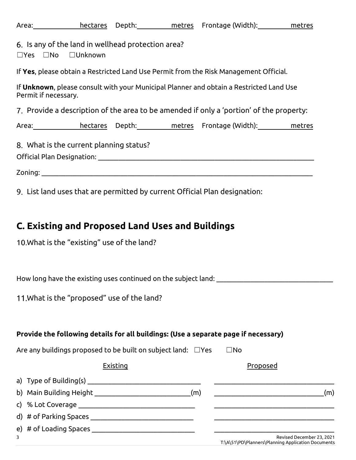| Area: hectares Depth: metres Frontage (Width): metres                                                           |  |
|-----------------------------------------------------------------------------------------------------------------|--|
| 6. Is any of the land in wellhead protection area?<br>□Unknown<br>$\square$ Yes $\square$ No                    |  |
| If Yes, please obtain a Restricted Land Use Permit from the Risk Management Official.                           |  |
| If Unknown, please consult with your Municipal Planner and obtain a Restricted Land Use<br>Permit if necessary. |  |
| 7. Provide a description of the area to be amended if only a 'portion' of the property:                         |  |
| Area: hectares Depth: metres Frontage (Width): metres                                                           |  |
| 8. What is the current planning status?                                                                         |  |
|                                                                                                                 |  |
| 9. List land uses that are permitted by current Official Plan designation:                                      |  |
|                                                                                                                 |  |
| C. Existing and Proposed Land Uses and Buildings                                                                |  |
| 10. What is the "existing" use of the land?                                                                     |  |
|                                                                                                                 |  |
|                                                                                                                 |  |
| 11. What is the "proposed" use of the land?                                                                     |  |
|                                                                                                                 |  |
|                                                                                                                 |  |
| Provide the following details for all buildings: (Use a separate page if necessary)                             |  |
| Are any buildings proposed to be built on subject land: $\Box$ Yes<br>$\square$ No                              |  |
| <b>Existing</b><br>Proposed                                                                                     |  |
|                                                                                                                 |  |
| b) Main Building Height _________________________________(m)                                                    |  |
|                                                                                                                 |  |
|                                                                                                                 |  |
|                                                                                                                 |  |

3 Revised December 23, 2021 T:\A\51\PD\Planners\Planning Application Documents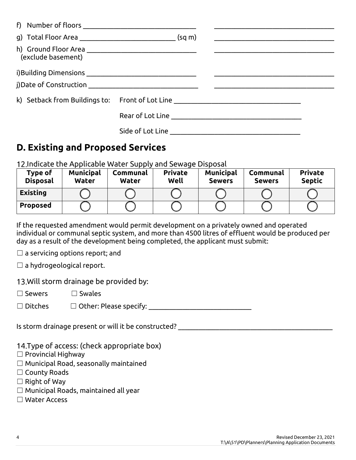| k) Setback from Buildings to: Front of Lot Line ________________________________ |                                                       |
|----------------------------------------------------------------------------------|-------------------------------------------------------|
|                                                                                  |                                                       |
|                                                                                  |                                                       |
|                                                                                  | f) Number of floors _________________________________ |

## **D. Existing and Proposed Services**

Indicate the Applicable Water Supply and Sewage Disposal

| Type of<br><b>Disposal</b> | <b>Municipal</b><br><b>Water</b> | Communal<br><b>Water</b> | <b>Private</b><br>Well | <b>Municipal</b><br><b>Sewers</b> | Communal<br><b>Sewers</b> | <b>Private</b><br><b>Septic</b> |
|----------------------------|----------------------------------|--------------------------|------------------------|-----------------------------------|---------------------------|---------------------------------|
| <b>Existing</b>            |                                  |                          |                        |                                   |                           |                                 |
| <b>Proposed</b>            |                                  |                          |                        |                                   |                           |                                 |

If the requested amendment would permit development on a privately owned and operated individual or communal septic system, and more than 4500 litres of effluent would be produced per day as a result of the development being completed, the applicant must submit:

 $\Box$  a servicing options report; and

 $\Box$  a hydrogeological report.

13. Will storm drainage be provided by:

☐ Sewers ☐ Swales

☐ Ditches ☐ Other: Please specify: \_\_\_\_\_\_\_\_\_\_\_\_\_\_\_\_\_\_\_\_\_\_\_\_\_\_\_\_\_\_

Is storm drainage present or will it be constructed? \_\_\_\_\_\_\_\_\_\_\_\_\_\_\_\_\_\_\_\_\_\_\_\_\_\_\_

14. Type of access: (check appropriate box)

- ☐ Provincial Highway
- $\Box$  Municipal Road, seasonally maintained
- ☐ County Roads
- $\Box$  Right of Way
- ☐ Municipal Roads, maintained all year
- ☐ Water Access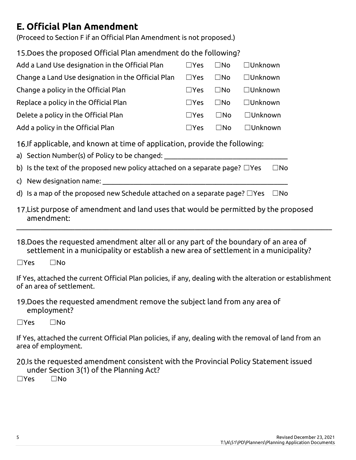## **E. Official Plan Amendment**

(Proceed to Section F if an Official Plan Amendment is not proposed.)

| 15. Does the proposed Official Plan amendment do the following?                                                                                                                                                                                                                                                                       |               |              |          |  |  |
|---------------------------------------------------------------------------------------------------------------------------------------------------------------------------------------------------------------------------------------------------------------------------------------------------------------------------------------|---------------|--------------|----------|--|--|
| Add a Land Use designation in the Official Plan                                                                                                                                                                                                                                                                                       | $\Box$ Yes    | $\square$ No | □Unknown |  |  |
| Change a Land Use designation in the Official Plan                                                                                                                                                                                                                                                                                    | $\Box$ Yes    | $\square$ No | □Unknown |  |  |
| Change a policy in the Official Plan                                                                                                                                                                                                                                                                                                  | $\square$ Yes | $\square$ No | □Unknown |  |  |
| Replace a policy in the Official Plan                                                                                                                                                                                                                                                                                                 | $\Box$ Yes    | $\square$ No | □Unknown |  |  |
| Delete a policy in the Official Plan                                                                                                                                                                                                                                                                                                  | $\Box$ Yes    | $\square$ No | □Unknown |  |  |
| Add a policy in the Official Plan                                                                                                                                                                                                                                                                                                     | $\Box$ Yes    | $\square$ No | □Unknown |  |  |
| 16. If applicable, and known at time of application, provide the following:<br>a) Section Number(s) of Policy to be changed:<br>b) Is the text of the proposed new policy attached on a separate page? $\Box$ Yes<br>$\square$ No<br>d) Is a map of the proposed new Schedule attached on a separate page? $\Box$ Yes<br>$\square$ No |               |              |          |  |  |
| 17. List purpose of amendment and land uses that would be permitted by the proposed<br>amendment:                                                                                                                                                                                                                                     |               |              |          |  |  |

18. Does the requested amendment alter all or any part of the boundary of an area of settlement in a municipality or establish a new area of settlement in a municipality?

☐Yes ☐No

If Yes, attached the current Official Plan policies, if any, dealing with the alteration or establishment of an area of settlement.

 $\_$  ,  $\_$  ,  $\_$  ,  $\_$  ,  $\_$  ,  $\_$  ,  $\_$  ,  $\_$  ,  $\_$  ,  $\_$  ,  $\_$  ,  $\_$  ,  $\_$  ,  $\_$  ,  $\_$  ,  $\_$  ,  $\_$  ,  $\_$  ,  $\_$  ,  $\_$  ,  $\_$  ,  $\_$  ,  $\_$  ,  $\_$  ,  $\_$  ,  $\_$  ,  $\_$  ,  $\_$  ,  $\_$  ,  $\_$  ,  $\_$  ,  $\_$  ,  $\_$  ,  $\_$  ,  $\_$  ,  $\_$  ,  $\_$  ,

19. Does the requested amendment remove the subject land from any area of employment?

☐Yes ☐No

If Yes, attached the current Official Plan policies, if any, dealing with the removal of land from an area of employment.

20.Is the requested amendment consistent with the Provincial Policy Statement issued under Section 3(1) of the Planning Act?

 $\Box$ Yes  $\Box$ No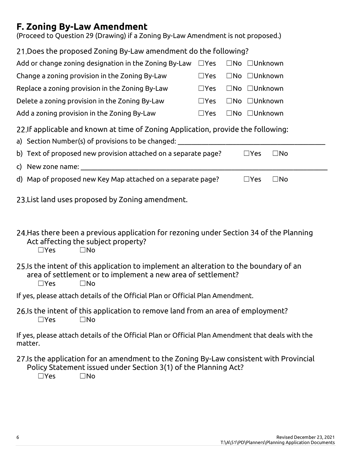## **F. Zoning By-Law Amendment**

(Proceed to Question 29 (Drawing) if a Zoning By-Law Amendment is not proposed.)

| 21. Does the proposed Zoning By-Law amendment do the following?                                                                                                                      |               |  |               |              |
|--------------------------------------------------------------------------------------------------------------------------------------------------------------------------------------|---------------|--|---------------|--------------|
| Add or change zoning designation in the Zoning By-Law                                                                                                                                | $\square$ Yes |  | □No □Unknown  |              |
| Change a zoning provision in the Zoning By-Law                                                                                                                                       | $\Box$ Yes    |  | □No □Unknown  |              |
| Replace a zoning provision in the Zoning By-Law                                                                                                                                      | $\Box$ Yes    |  | □No □Unknown  |              |
| Delete a zoning provision in the Zoning By-Law                                                                                                                                       | $\Box$ Yes    |  | □No □Unknown  |              |
| Add a zoning provision in the Zoning By-Law                                                                                                                                          | $\square$ Yes |  | □No □Unknown  |              |
| 22. If applicable and known at time of Zoning Application, provide the following:<br>a) Section Number(s) of provisions to be changed: ______________________________                |               |  |               |              |
| b) Text of proposed new provision attached on a separate page?                                                                                                                       |               |  | $\Box$ Yes    | $\square$ No |
|                                                                                                                                                                                      |               |  |               |              |
| d) Map of proposed new Key Map attached on a separate page?                                                                                                                          |               |  | $\square$ Yes | $\square$ No |
| 23. List land uses proposed by Zoning amendment.                                                                                                                                     |               |  |               |              |
| 24. Has there been a previous application for rezoning under Section 34 of the Planning<br>Act affecting the subject property?<br>$\Box$ Yes<br>$\square$ No                         |               |  |               |              |
| 25. Is the intent of this application to implement an alteration to the boundary of an<br>area of settlement or to implement a new area of settlement?<br>$\Box$ Yes<br>$\square$ No |               |  |               |              |
| If yes, please attach details of the Official Plan or Official Plan Amendment.                                                                                                       |               |  |               |              |
| 26. Is the intent of this application to remove land from an area of employment?<br>$\Box$ Yes<br>$\square$ No                                                                       |               |  |               |              |
| If yes, please attach details of the Official Plan or Official Plan Amendment that deals with the                                                                                    |               |  |               |              |

If yes, please attach details of the Official Plan or Official Plan Amendment that deals with the matter.

27.Is the application for an amendment to the Zoning By-Law consistent with Provincial Policy Statement issued under Section 3(1) of the Planning Act?

☐Yes ☐No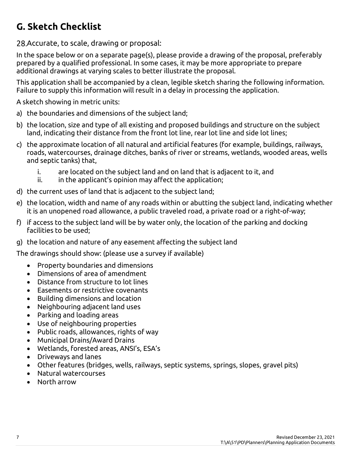# **G. Sketch Checklist**

28. Accurate, to scale, drawing or proposal:

In the space below or on a separate page(s), please provide a drawing of the proposal, preferably prepared by a qualified professional. In some cases, it may be more appropriate to prepare additional drawings at varying scales to better illustrate the proposal.

This application shall be accompanied by a clean, legible sketch sharing the following information. Failure to supply this information will result in a delay in processing the application.

A sketch showing in metric units:

- a) the boundaries and dimensions of the subject land;
- b) the location, size and type of all existing and proposed buildings and structure on the subject land, indicating their distance from the front lot line, rear lot line and side lot lines;
- c) the approximate location of all natural and artificial features (for example, buildings, railways, roads, watercourses, drainage ditches, banks of river or streams, wetlands, wooded areas, wells and septic tanks) that,
	- i. are located on the subject land and on land that is adjacent to it, and
	- $ii.$  in the applicant's opinion may affect the application;
- d) the current uses of land that is adjacent to the subject land;
- e) the location, width and name of any roads within or abutting the subject land, indicating whether it is an unopened road allowance, a public traveled road, a private road or a right-of-way;
- f) if access to the subject land will be by water only, the location of the parking and docking facilities to be used;
- g) the location and nature of any easement affecting the subject land

The drawings should show: (please use a survey if available)

- Property boundaries and dimensions
- Dimensions of area of amendment
- Distance from structure to lot lines
- Easements or restrictive covenants
- Building dimensions and location
- Neighbouring adjacent land uses
- Parking and loading areas
- Use of neighbouring properties
- Public roads, allowances, rights of way
- Municipal Drains/Award Drains
- Wetlands, forested areas, ANSI's, ESA's
- Driveways and lanes
- Other features (bridges, wells, railways, septic systems, springs, slopes, gravel pits)
- Natural watercourses
- North arrow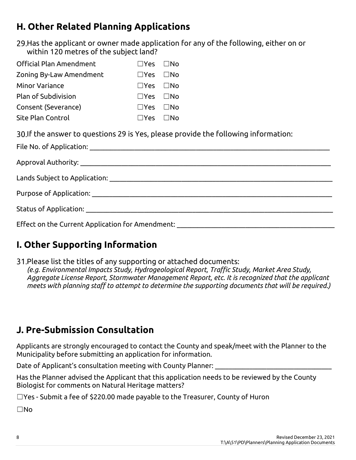# **H. Other Related Planning Applications**

29.Has the applicant or owner made application for any of the following, either on or within 120 metres of the subject land?

| Official Plan Amendment | l lYes i lNo               |  |
|-------------------------|----------------------------|--|
| Zoning By-Law Amendment | l lYes i lNo               |  |
| <b>Minor Variance</b>   | $\Box$ Yes $\Box$ No       |  |
| Plan of Subdivision     | $\Box$ Yes $\Box$ No       |  |
| Consent (Severance)     | $\square$ Yes $\square$ No |  |
| Site Plan Control       | $\Box Y$ es $\Box$ No      |  |
|                         |                            |  |

If the answer to questions 29 is Yes, please provide the following information:

| Status of Application: <u>Alexander Status and Status and Status and Status and Status and Status and Status and Status and Status and Status and Status and Status and Status and Status and Status and Status and Status and S</u> |
|--------------------------------------------------------------------------------------------------------------------------------------------------------------------------------------------------------------------------------------|
| Effect on the Current Application for Amendment: _______________________________                                                                                                                                                     |

# **I. Other Supporting Information**

Please list the titles of any supporting or attached documents: *(e.g. Environmental Impacts Study, Hydrogeological Report, Traffic Study, Market Area Study, Aggregate License Report, Stormwater Management Report, etc. It is recognized that the applicant meets with planning staff to attempt to determine the supporting documents that will be required.)*

# **J. Pre-Submission Consultation**

Applicants are strongly encouraged to contact the County and speak/meet with the Planner to the Municipality before submitting an application for information.

Date of Applicant's consultation meeting with County Planner:

Has the Planner advised the Applicant that this application needs to be reviewed by the County Biologist for comments on Natural Heritage matters?

☐Yes - Submit a fee of \$220.00 made payable to the Treasurer, County of Huron

☐No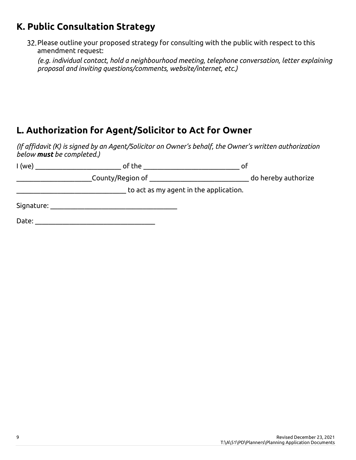## **K. Public Consultation Strategy**

32. Please outline your proposed strategy for consulting with the public with respect to this amendment request:

*(e.g. individual contact, hold a neighbourhood meeting, telephone conversation, letter explaining proposal and inviting questions/comments, website/internet, etc.)*

## **L. Authorization for Agent/Solicitor to Act for Owner**

*(If affidavit (K) is signed by an Agent/Solicitor on Owner's behalf, the Owner's written authorization below must be completed.)*

| $1$ (we)   | of the           | Ωľ                                     |
|------------|------------------|----------------------------------------|
|            | County/Region of | do hereby authorize                    |
|            |                  | to act as my agent in the application. |
| Signature: |                  |                                        |
| Date:      |                  |                                        |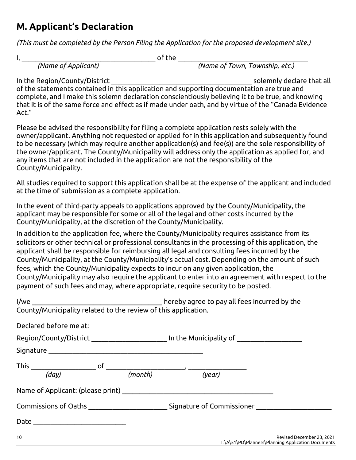## **M. Applicant's Declaration**

*(This must be completed by the Person Filing the Application for the proposed development site.)*

 $\mathsf{I}, \underline{\hspace{1cm}}$ 

*(Name of Applicant) (Name of Town, Township, etc.)*

In the Region/County/District extending the state of the solemnly declare that all of the statements contained in this application and supporting documentation are true and complete, and I make this solemn declaration conscientiously believing it to be true, and knowing that it is of the same force and effect as if made under oath, and by virtue of the "Canada Evidence Act."

Please be advised the responsibility for filing a complete application rests solely with the owner/applicant. Anything not requested or applied for in this application and subsequently found to be necessary (which may require another application(s) and fee(s)) are the sole responsibility of the owner/applicant. The County/Municipality will address only the application as applied for, and any items that are not included in the application are not the responsibility of the County/Municipality.

All studies required to support this application shall be at the expense of the applicant and included at the time of submission as a complete application.

In the event of third-party appeals to applications approved by the County/Municipality, the applicant may be responsible for some or all of the legal and other costs incurred by the County/Municipality, at the discretion of the County/Municipality.

I/we \_\_\_\_\_\_\_\_\_\_\_\_\_\_\_\_\_\_\_\_\_\_\_\_\_\_\_\_\_\_\_\_\_\_\_\_\_\_ hereby agree to pay all fees incurred by the

In addition to the application fee, where the County/Municipality requires assistance from its solicitors or other technical or professional consultants in the processing of this application, the applicant shall be responsible for reimbursing all legal and consulting fees incurred by the County/Municipality, at the County/Municipality's actual cost. Depending on the amount of such fees, which the County/Municipality expects to incur on any given application, the County/Municipality may also require the applicant to enter into an agreement with respect to the payment of such fees and may, where appropriate, require security to be posted.

| County/Municipality related to the review of this application. |         |                                                                                                     |                           |
|----------------------------------------------------------------|---------|-----------------------------------------------------------------------------------------------------|---------------------------|
| Declared before me at:                                         |         |                                                                                                     |                           |
|                                                                |         | Region/County/District _____________________ In the Municipality of ____________                    |                           |
|                                                                |         |                                                                                                     |                           |
| (day)                                                          | (month) | (year)                                                                                              |                           |
|                                                                |         |                                                                                                     |                           |
|                                                                |         | Commissions of Oaths _______________________________Signature of Commissioner _____________________ |                           |
| Date __________________________                                |         |                                                                                                     |                           |
| 10 <sup>°</sup>                                                |         |                                                                                                     | Revised December 23, 2021 |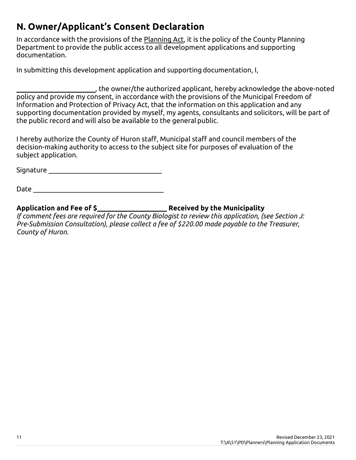# **N. Owner/Applicant's Consent Declaration**

In accordance with the provisions of the Planning Act, it is the policy of the County Planning Department to provide the public access to all development applications and supporting documentation.

In submitting this development application and supporting documentation, I,

\_\_\_\_\_\_\_\_\_\_\_\_\_\_\_\_\_\_\_\_\_\_\_, the owner/the authorized applicant, hereby acknowledge the above-noted policy and provide my consent, in accordance with the provisions of the Municipal Freedom of Information and Protection of Privacy Act, that the information on this application and any supporting documentation provided by myself, my agents, consultants and solicitors, will be part of the public record and will also be available to the general public.

I hereby authorize the County of Huron staff, Municipal staff and council members of the decision-making authority to access to the subject site for purposes of evaluation of the subject application.

Signature \_\_\_\_\_\_\_\_\_\_\_\_\_\_\_\_\_\_\_\_\_\_\_\_\_\_\_\_\_\_\_\_\_

 $Date$ 

**Application and Fee of \$\_\_\_\_\_\_\_\_\_\_\_\_\_\_\_\_\_\_\_\_ Received by the Municipality**

*If comment fees are required for the County Biologist to review this application, (see Section J: Pre-Submission Consultation), please collect a fee of \$220.00 made payable to the Treasurer, County of Huron.*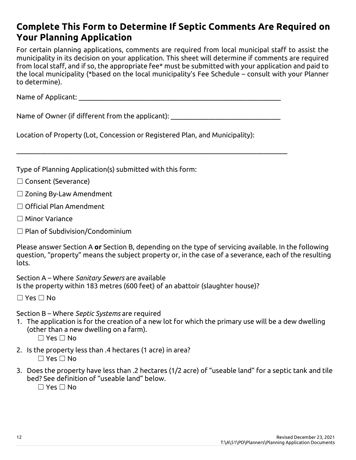## **Complete This Form to Determine If Septic Comments Are Required on Your Planning Application**

For certain planning applications, comments are required from local municipal staff to assist the municipality in its decision on your application. This sheet will determine if comments are required from local staff, and if so, the appropriate fee\* must be submitted with your application and paid to the local municipality (\*based on the local municipality's Fee Schedule – consult with your Planner to determine).

Name of Applicant: which is a set of  $\lambda$ 

Name of Owner (if different from the applicant):

 $\_$  , and the contribution of the contribution of the contribution of the contribution of the contribution of  $\mathcal{L}$ 

Location of Property (Lot, Concession or Registered Plan, and Municipality):

Type of Planning Application(s) submitted with this form:

- ☐ Consent (Severance)
- $\Box$  Zoning By-Law Amendment
- ☐ Official Plan Amendment
- ☐ Minor Variance
- ☐ Plan of Subdivision/Condominium

Please answer Section A **or** Section B, depending on the type of servicing available. In the following question, "property" means the subject property or, in the case of a severance, each of the resulting lots.

Section A – Where *Sanitary Sewers* are available Is the property within 183 metres (600 feet) of an abattoir (slaughter house)?

☐ Yes ☐ No

Section B – Where *Septic Systems* are required

1. The application is for the creation of a new lot for which the primary use will be a dew dwelling (other than a new dwelling on a farm).

 $\square$  Yes  $\square$  No

- 2. Is the property less than .4 hectares (1 acre) in area? ☐ Yes ☐ No
- 3. Does the property have less than .2 hectares (1/2 acre) of "useable land" for a septic tank and tile bed? See definition of "useable land" below.

 $\Box$  Yes  $\Box$  No